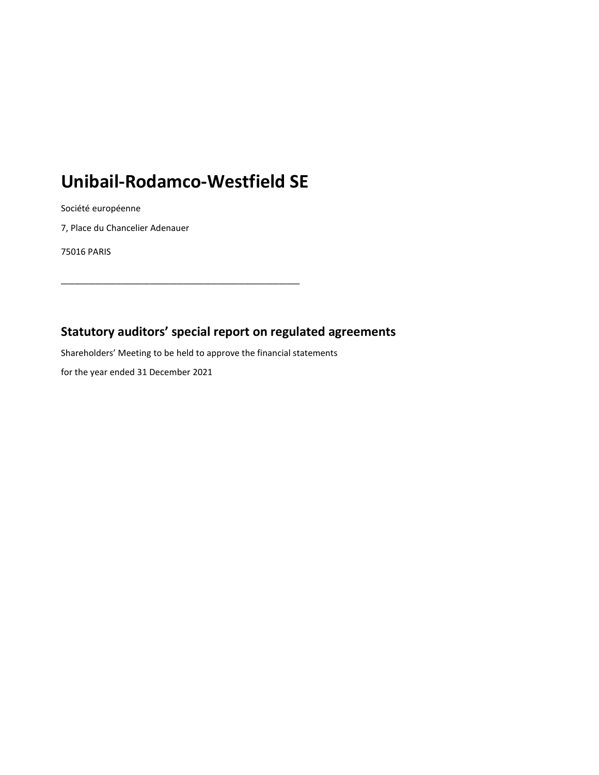# **Unibail-Rodamco-Westfield SE**

**\_\_\_\_\_\_\_\_\_\_\_\_\_\_\_\_\_\_\_\_\_\_\_\_\_\_\_\_\_\_\_\_\_\_\_**

Société européenne

7, Place du Chancelier Adenauer

75016 PARIS

### **Statutory auditors' special report on regulated agreements**

Shareholders' Meeting to be held to approve the financial statements

for the year ended 31 December 2021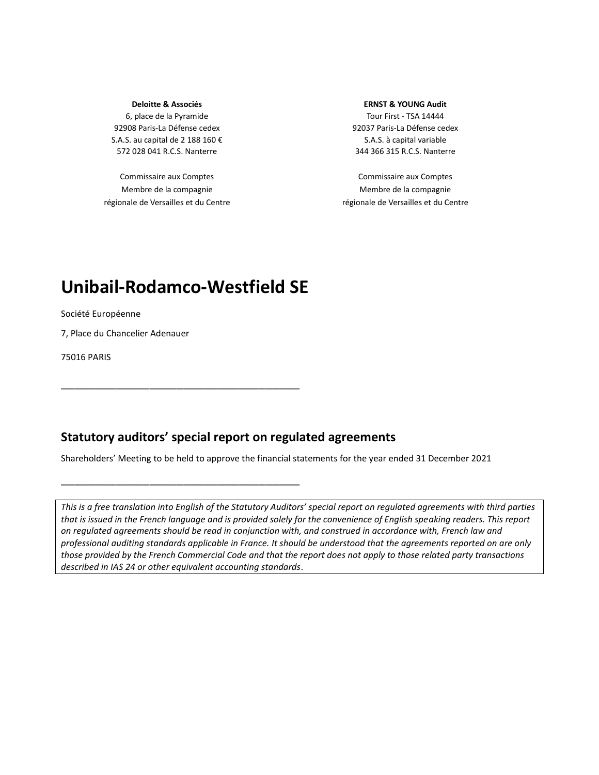#### **Deloitte & Associés**

6, place de la Pyramide 92908 Paris-La Défense cedex S.A.S. au capital de 2 188 160 € 572 028 041 R.C.S. Nanterre

Commissaire aux Comptes Membre de la compagnie régionale de Versailles et du Centre

#### **ERNST & YOUNG Audit**

Tour First - TSA 14444 92037 Paris-La Défense cedex S.A.S. à capital variable 344 366 315 R.C.S. Nanterre

Commissaire aux Comptes Membre de la compagnie régionale de Versailles et du Centre

## **Unibail-Rodamco-Westfield SE**

**\_\_\_\_\_\_\_\_\_\_\_\_\_\_\_\_\_\_\_\_\_\_\_\_\_\_\_\_\_\_\_\_\_\_\_**

**\_\_\_\_\_\_\_\_\_\_\_\_\_\_\_\_\_\_\_\_\_\_\_\_\_\_\_\_\_\_\_\_\_\_\_**

Société Européenne

7, Place du Chancelier Adenauer

75016 PARIS

### **Statutory auditors' special report on regulated agreements**

Shareholders' Meeting to be held to approve the financial statements for the year ended 31 December 2021

*This is a free translation into English of the Statutory Auditors' special report on regulated agreements with third parties that is issued in the French language and is provided solely for the convenience of English speaking readers. This report on regulated agreements should be read in conjunction with, and construed in accordance with, French law and professional auditing standards applicable in France. It should be understood that the agreements reported on are only those provided by the French Commercial Code and that the report does not apply to those related party transactions described in IAS 24 or other equivalent accounting standards*.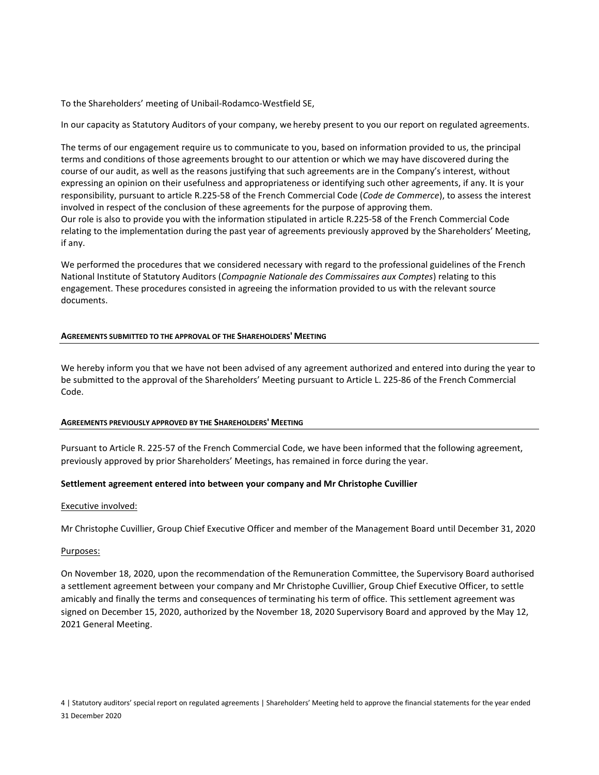To the Shareholders' meeting of Unibail-Rodamco-Westfield SE,

In our capacity as Statutory Auditors of your company, we hereby present to you our report on regulated agreements.

The terms of our engagement require us to communicate to you, based on information provided to us, the principal terms and conditions of those agreements brought to our attention or which we may have discovered during the course of our audit, as well as the reasons justifying that such agreements are in the Company's interest, without expressing an opinion on their usefulness and appropriateness or identifying such other agreements, if any. It is your responsibility, pursuant to article R.225-58 of the French Commercial Code (*Code de Commerce*), to assess the interest involved in respect of the conclusion of these agreements for the purpose of approving them. Our role is also to provide you with the information stipulated in article R.225-58 of the French Commercial Code relating to the implementation during the past year of agreements previously approved by the Shareholders' Meeting, if any.

We performed the procedures that we considered necessary with regard to the professional guidelines of the French National Institute of Statutory Auditors (*Compagnie Nationale des Commissaires aux Comptes*) relating to this engagement. These procedures consisted in agreeing the information provided to us with the relevant source documents.

#### **AGREEMENTS SUBMITTED TO THE APPROVAL OF THE SHAREHOLDERS' MEETING**

We hereby inform you that we have not been advised of any agreement authorized and entered into during the year to be submitted to the approval of the Shareholders' Meeting pursuant to Article L. 225-86 of the French Commercial Code.

#### **AGREEMENTS PREVIOUSLY APPROVED BY THE SHAREHOLDERS' MEETING**

Pursuant to Article R. 225-57 of the French Commercial Code, we have been informed that the following agreement, previously approved by prior Shareholders' Meetings, has remained in force during the year.

#### **Settlement agreement entered into between your company and Mr Christophe Cuvillier**

#### Executive involved:

Mr Christophe Cuvillier, Group Chief Executive Officer and member of the Management Board until December 31, 2020

#### Purposes:

On November 18, 2020, upon the recommendation of the Remuneration Committee, the Supervisory Board authorised a settlement agreement between your company and Mr Christophe Cuvillier, Group Chief Executive Officer, to settle amicably and finally the terms and consequences of terminating his term of office. This settlement agreement was signed on December 15, 2020, authorized by the November 18, 2020 Supervisory Board and approved by the May 12, 2021 General Meeting.